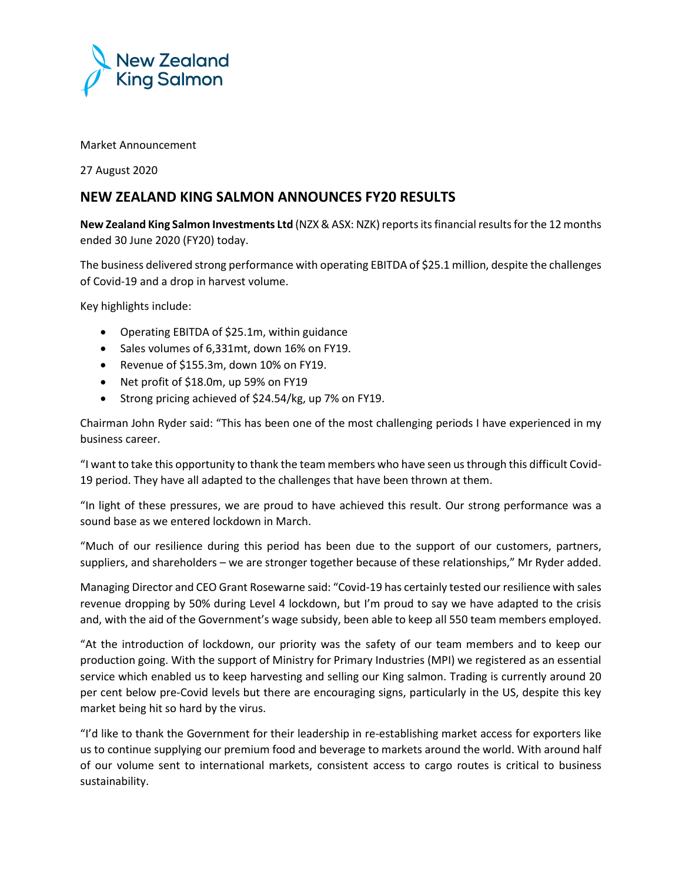

## Market Announcement

27 August 2020

## **NEW ZEALAND KING SALMON ANNOUNCES FY20 RESULTS**

**New Zealand King Salmon Investments Ltd** (NZX & ASX: NZK) reportsits financial results for the 12 months ended 30 June 2020 (FY20) today.

The business delivered strong performance with operating EBITDA of \$25.1 million, despite the challenges of Covid-19 and a drop in harvest volume.

Key highlights include:

- Operating EBITDA of \$25.1m, within guidance
- Sales volumes of 6,331mt, down 16% on FY19.
- Revenue of \$155.3m, down 10% on FY19.
- Net profit of \$18.0m, up 59% on FY19
- Strong pricing achieved of \$24.54/kg, up 7% on FY19.

Chairman John Ryder said: "This has been one of the most challenging periods I have experienced in my business career.

"I want to take this opportunity to thank the team members who have seen us through this difficult Covid-19 period. They have all adapted to the challenges that have been thrown at them.

"In light of these pressures, we are proud to have achieved this result. Our strong performance was a sound base as we entered lockdown in March.

"Much of our resilience during this period has been due to the support of our customers, partners, suppliers, and shareholders – we are stronger together because of these relationships," Mr Ryder added.

Managing Director and CEO Grant Rosewarne said: "Covid-19 has certainly tested our resilience with sales revenue dropping by 50% during Level 4 lockdown, but I'm proud to say we have adapted to the crisis and, with the aid of the Government's wage subsidy, been able to keep all 550 team members employed.

"At the introduction of lockdown, our priority was the safety of our team members and to keep our production going. With the support of Ministry for Primary Industries (MPI) we registered as an essential service which enabled us to keep harvesting and selling our King salmon. Trading is currently around 20 per cent below pre-Covid levels but there are encouraging signs, particularly in the US, despite this key market being hit so hard by the virus.

"I'd like to thank the Government for their leadership in re-establishing market access for exporters like us to continue supplying our premium food and beverage to markets around the world. With around half of our volume sent to international markets, consistent access to cargo routes is critical to business sustainability.